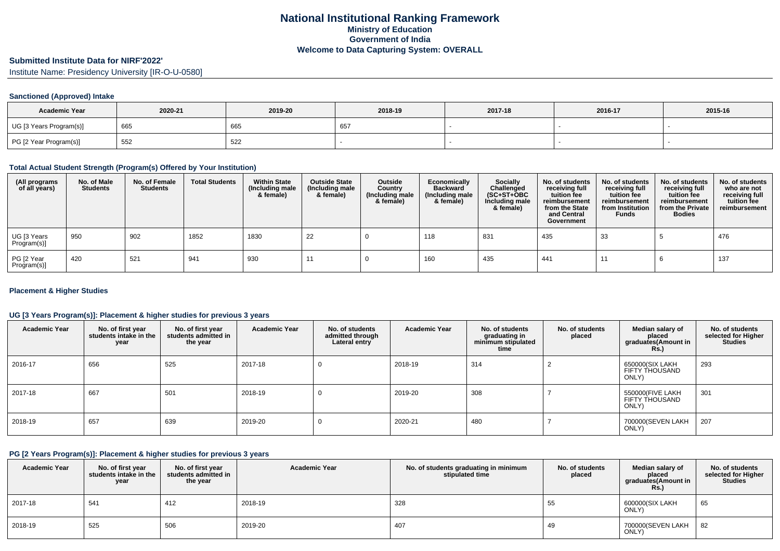# **Submitted Institute Data for NIRF'2022'**

Institute Name: Presidency University [IR-O-U-0580]

### **Sanctioned (Approved) Intake**

| <b>Academic Year</b>    | 2020-21 | 2019-20 | 2018-19 | 2017-18 | 2016-17 | 2015-16 |
|-------------------------|---------|---------|---------|---------|---------|---------|
| UG [3 Years Program(s)] | 665     | 665     | - 65    |         |         |         |
| PG [2 Year Program(s)]  | 552     | 522     |         |         |         |         |

#### **Total Actual Student Strength (Program(s) Offered by Your Institution)**

| (All programs<br>of all years) | No. of Male<br><b>Students</b> | No. of Female<br><b>Students</b> | <b>Total Students</b> | <b>Within State</b><br>(Including male<br>& female) | <b>Outside State</b><br>(Including male<br>& female) | Outside<br>Country<br>(Including male<br>& female) | Economically<br><b>Backward</b><br>(Including male<br>& female) | <b>Socially</b><br>Challenged<br>$(SC+ST+OBC)$<br>Including male<br>& female) | No. of students<br>receiving full<br>tuition fee<br>reimbursement<br>from the State<br>and Central<br>Government | No. of students<br>receiving full<br>tuition fee<br>reimbursement<br>from Institution<br><b>Funds</b> | No. of students<br>receiving full<br>tuition fee<br>reimbursement<br>from the Private<br><b>Bodies</b> | No. of students<br>who are not<br>receiving full<br>tuition fee<br>reimbursement |
|--------------------------------|--------------------------------|----------------------------------|-----------------------|-----------------------------------------------------|------------------------------------------------------|----------------------------------------------------|-----------------------------------------------------------------|-------------------------------------------------------------------------------|------------------------------------------------------------------------------------------------------------------|-------------------------------------------------------------------------------------------------------|--------------------------------------------------------------------------------------------------------|----------------------------------------------------------------------------------|
| UG [3 Years<br>Program(s)]     | 950                            | 902                              | 1852                  | 1830                                                | 22                                                   |                                                    | 118                                                             | 831                                                                           | 435                                                                                                              | 33                                                                                                    |                                                                                                        | 476                                                                              |
| PG [2 Year<br>Program(s)]      | 420                            | 521                              | 941                   | 930                                                 |                                                      |                                                    | 160                                                             | 435                                                                           | 441                                                                                                              | 11                                                                                                    |                                                                                                        | 137                                                                              |

### **Placement & Higher Studies**

### **UG [3 Years Program(s)]: Placement & higher studies for previous 3 years**

| <b>Academic Year</b> | No. of first year<br>students intake in the<br>year | No. of first year<br>students admitted in<br>the year | <b>Academic Year</b> | No. of students<br>admitted through<br>Lateral entry | <b>Academic Year</b> | No. of students<br>graduating in<br>minimum stipulated<br>time | No. of students<br>placed | Median salary of<br>placed<br>graduates(Amount in<br><b>Rs.</b> ) | No. of students<br>selected for Higher<br><b>Studies</b> |
|----------------------|-----------------------------------------------------|-------------------------------------------------------|----------------------|------------------------------------------------------|----------------------|----------------------------------------------------------------|---------------------------|-------------------------------------------------------------------|----------------------------------------------------------|
| 2016-17              | 656                                                 | 525                                                   | 2017-18              | -0                                                   | 2018-19              | 314                                                            |                           | 650000(SIX LAKH<br>FIFTY THOUSAND<br>ONLY)                        | 293                                                      |
| 2017-18              | 667                                                 | 501                                                   | 2018-19              | -0                                                   | 2019-20              | 308                                                            |                           | 550000(FIVE LAKH<br>FIFTY THOUSAND<br>ONLY)                       | 301                                                      |
| 2018-19              | 657                                                 | 639                                                   | 2019-20              | 0                                                    | 2020-21              | 480                                                            |                           | 700000(SEVEN LAKH<br>ONLY)                                        | 207                                                      |

#### **PG [2 Years Program(s)]: Placement & higher studies for previous 3 years**

| <b>Academic Year</b> | No. of first year<br>students intake in the<br>year | No. of first year<br>students admitted in<br>the year | <b>Academic Year</b> | No. of students graduating in minimum<br>stipulated time | No. of students<br>placed | Median salary of<br>placed<br>graduates(Amount in<br><b>Rs.)</b> | No. of students<br>selected for Higher<br><b>Studies</b> |
|----------------------|-----------------------------------------------------|-------------------------------------------------------|----------------------|----------------------------------------------------------|---------------------------|------------------------------------------------------------------|----------------------------------------------------------|
| 2017-18              | 541                                                 | 412                                                   | 2018-19              | 328                                                      | .55                       | 600000(SIX LAKH<br>ONLY)                                         | 65                                                       |
| 2018-19              | 525                                                 | 506                                                   | 2019-20              | 407                                                      | 49                        | 700000(SEVEN LAKH<br>ONLY)                                       | 82                                                       |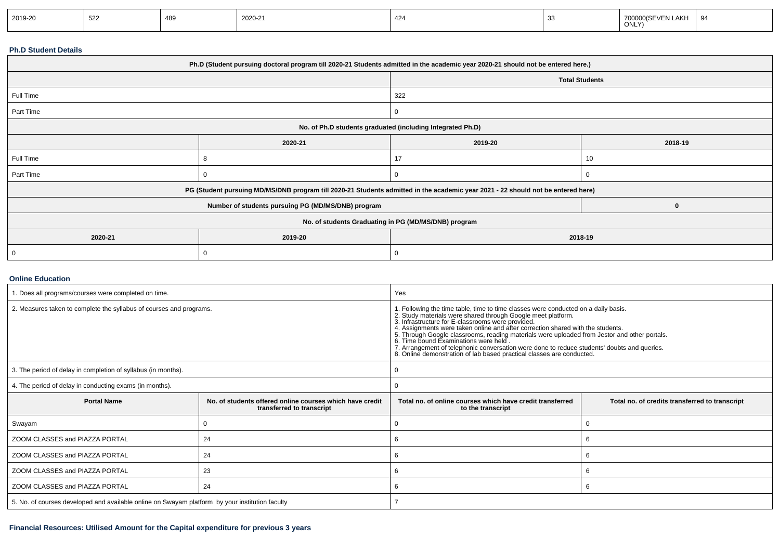| 2019-20 | 522 | 180 | ነበ2በ-21 | 424 | .AKH<br>ONLY)<br>______ | -97 |
|---------|-----|-----|---------|-----|-------------------------|-----|
|         |     |     |         |     |                         |     |

#### **Ph.D Student Details**

| Ph.D (Student pursuing doctoral program till 2020-21 Students admitted in the academic year 2020-21 should not be entered here.) |                                                                                                                                  |                                                      |    |  |  |  |
|----------------------------------------------------------------------------------------------------------------------------------|----------------------------------------------------------------------------------------------------------------------------------|------------------------------------------------------|----|--|--|--|
|                                                                                                                                  | <b>Total Students</b>                                                                                                            |                                                      |    |  |  |  |
| Full Time                                                                                                                        |                                                                                                                                  | 322                                                  |    |  |  |  |
| Part Time                                                                                                                        |                                                                                                                                  | 0                                                    |    |  |  |  |
|                                                                                                                                  | No. of Ph.D students graduated (including Integrated Ph.D)                                                                       |                                                      |    |  |  |  |
|                                                                                                                                  | 2020-21                                                                                                                          | 2019-20<br>2018-19                                   |    |  |  |  |
| Full Time                                                                                                                        |                                                                                                                                  | 17                                                   | 10 |  |  |  |
| Part Time                                                                                                                        |                                                                                                                                  | 0                                                    |    |  |  |  |
|                                                                                                                                  | PG (Student pursuing MD/MS/DNB program till 2020-21 Students admitted in the academic year 2021 - 22 should not be entered here) |                                                      |    |  |  |  |
|                                                                                                                                  | Number of students pursuing PG (MD/MS/DNB) program                                                                               |                                                      |    |  |  |  |
|                                                                                                                                  |                                                                                                                                  | No. of students Graduating in PG (MD/MS/DNB) program |    |  |  |  |
| 2020-21                                                                                                                          | 2019-20                                                                                                                          | 2018-19                                              |    |  |  |  |
|                                                                                                                                  |                                                                                                                                  | 0                                                    |    |  |  |  |

### **Online Education**

| . Does all programs/courses were completed on time.                                             |                                                                                       | Yes                                                                                                                                                                                                                                                                                                                                                                                                                                                                                                                                                     |    |  |  |
|-------------------------------------------------------------------------------------------------|---------------------------------------------------------------------------------------|---------------------------------------------------------------------------------------------------------------------------------------------------------------------------------------------------------------------------------------------------------------------------------------------------------------------------------------------------------------------------------------------------------------------------------------------------------------------------------------------------------------------------------------------------------|----|--|--|
| 2. Measures taken to complete the syllabus of courses and programs.                             |                                                                                       | 1. Following the time table, time to time classes were conducted on a daily basis.<br>2. Study materials were shared through Google meet platform.<br>3. Infrastructure for E-classrooms were provided.<br>4. Assignments were taken on<br>5. Through Google classrooms, reading materials were uploaded from Jestor and other portals.<br>6. Time bound Examinations were held<br>7. Arrangement of telephonic conversation were done to reduce students' doubts and queries.<br>8. Online demonstration of lab based practical classes are conducted. |    |  |  |
| 3. The period of delay in completion of syllabus (in months).                                   |                                                                                       |                                                                                                                                                                                                                                                                                                                                                                                                                                                                                                                                                         |    |  |  |
| 4. The period of delay in conducting exams (in months).                                         |                                                                                       |                                                                                                                                                                                                                                                                                                                                                                                                                                                                                                                                                         |    |  |  |
| <b>Portal Name</b>                                                                              | No, of students offered online courses which have credit<br>transferred to transcript | Total no. of online courses which have credit transferred<br>Total no. of credits transferred to transcript<br>to the transcript                                                                                                                                                                                                                                                                                                                                                                                                                        |    |  |  |
| Swayam                                                                                          |                                                                                       |                                                                                                                                                                                                                                                                                                                                                                                                                                                                                                                                                         |    |  |  |
| ZOOM CLASSES and PIAZZA PORTAL                                                                  | 24                                                                                    |                                                                                                                                                                                                                                                                                                                                                                                                                                                                                                                                                         |    |  |  |
| ZOOM CLASSES and PIAZZA PORTAL                                                                  | 24                                                                                    | 6                                                                                                                                                                                                                                                                                                                                                                                                                                                                                                                                                       | -6 |  |  |
| ZOOM CLASSES and PIAZZA PORTAL<br>23                                                            |                                                                                       | 6<br>-6                                                                                                                                                                                                                                                                                                                                                                                                                                                                                                                                                 |    |  |  |
| ZOOM CLASSES and PIAZZA PORTAL                                                                  | 24                                                                                    | 6                                                                                                                                                                                                                                                                                                                                                                                                                                                                                                                                                       |    |  |  |
| 5. No. of courses developed and available online on Swayam platform by your institution faculty |                                                                                       |                                                                                                                                                                                                                                                                                                                                                                                                                                                                                                                                                         |    |  |  |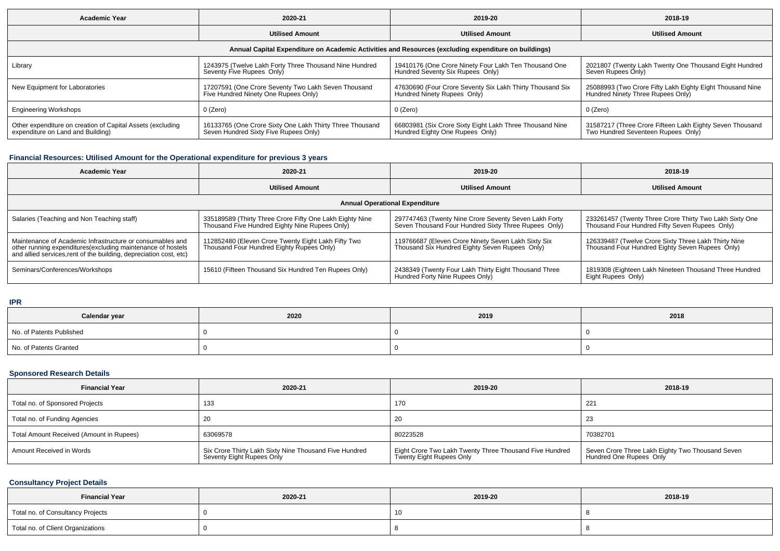| <b>Academic Year</b>                                                                                 | 2020-21                                                                                           | 2019-20                                                                                     | 2018-19                                                                                        |  |  |  |  |  |
|------------------------------------------------------------------------------------------------------|---------------------------------------------------------------------------------------------------|---------------------------------------------------------------------------------------------|------------------------------------------------------------------------------------------------|--|--|--|--|--|
|                                                                                                      | <b>Utilised Amount</b>                                                                            | <b>Utilised Amount</b>                                                                      | <b>Utilised Amount</b>                                                                         |  |  |  |  |  |
| Annual Capital Expenditure on Academic Activities and Resources (excluding expenditure on buildings) |                                                                                                   |                                                                                             |                                                                                                |  |  |  |  |  |
| Library                                                                                              | 1243975 (Twelve Lakh Forty Three Thousand Nine Hundred<br>Seventy Five Rupees Only)               | 19410176 (One Crore Ninety Four Lakh Ten Thousand One<br>Hundred Seventy Six Rupees Only)   | 2021807 (Twenty Lakh Twenty One Thousand Eight Hundred<br>Seven Rupees Only)                   |  |  |  |  |  |
| New Equipment for Laboratories                                                                       | 17207591 (One Crore Seventy Two Lakh Seven Thousand<br>Five Hundred Ninety One Rupees Only)       | 47630690 (Four Crore Seventy Six Lakh Thirty Thousand Six<br>Hundred Ninety Rupees Only)    | 25088993 (Two Crore Fifty Lakh Eighty Eight Thousand Nine<br>Hundred Ninety Three Rupees Only) |  |  |  |  |  |
| <b>Engineering Workshops</b>                                                                         | 0 (Zero)                                                                                          | 0 (Zero)                                                                                    | 0 (Zero)                                                                                       |  |  |  |  |  |
| Other expenditure on creation of Capital Assets (excluding<br>expenditure on Land and Building)      | 16133765 (One Crore Sixty One Lakh Thirty Three Thousand<br>Seven Hundred Sixty Five Rupees Only) | 66803981 (Six Crore Sixty Eight Lakh Three Thousand Nine<br>Hundred Eighty One Rupees Only) | 31587217 (Three Crore Fifteen Lakh Eighty Seven Thousand<br>Two Hundred Seventeen Rupees Only) |  |  |  |  |  |

## **Financial Resources: Utilised Amount for the Operational expenditure for previous 3 years**

| <b>Academic Year</b>                                                                                                                                                                            | 2020-21                                                                                                   | 2019-20                                                                                                       | 2018-19                                                                                                   |  |  |  |  |  |
|-------------------------------------------------------------------------------------------------------------------------------------------------------------------------------------------------|-----------------------------------------------------------------------------------------------------------|---------------------------------------------------------------------------------------------------------------|-----------------------------------------------------------------------------------------------------------|--|--|--|--|--|
|                                                                                                                                                                                                 | <b>Utilised Amount</b>                                                                                    | <b>Utilised Amount</b>                                                                                        | <b>Utilised Amount</b>                                                                                    |  |  |  |  |  |
| <b>Annual Operational Expenditure</b>                                                                                                                                                           |                                                                                                           |                                                                                                               |                                                                                                           |  |  |  |  |  |
| Salaries (Teaching and Non Teaching staff)                                                                                                                                                      | 335189589 (Thirty Three Crore Fifty One Lakh Eighty Nine<br>Thousand Five Hundred Eighty Nine Rupees Only | 297747463 (Twenty Nine Crore Seventy Seven Lakh Forty<br>Seven Thousand Four Hundred Sixty Three Rupees Only) | 233261457 (Twenty Three Crore Thirty Two Lakh Sixty One<br>Thousand Four Hundred Fifty Seven Rupees Only) |  |  |  |  |  |
| Maintenance of Academic Infrastructure or consumables and<br>other running expenditures (excluding maintenance of hostels<br>and allied services, rent of the building, depreciation cost, etc) | 112852480 (Eleven Crore Twenty Eight Lakh Fifty Two<br>Thousand Four Hundred Eighty Rupees Only)          | 119766687 (Eleven Crore Ninety Seven Lakh Sixty Six<br>Thousand Six Hundred Eighty Seven Rupees Only)         | 126339487 (Twelve Crore Sixty Three Lakh Thirty Nine<br>Thousand Four Hundred Eighty Seven Rupees Only)   |  |  |  |  |  |
| Seminars/Conferences/Workshops                                                                                                                                                                  | 15610 (Fifteen Thousand Six Hundred Ten Rupees Only)                                                      | 2438349 (Twenty Four Lakh Thirty Eight Thousand Three<br>Hundred Forty Nine Rupees Only)                      | 1819308 (Eighteen Lakh Nineteen Thousand Three Hundred<br>Eight Rupees Only)                              |  |  |  |  |  |

**IPR**

| Calendar year            | 2020 | 2019 | 2018 |
|--------------------------|------|------|------|
| No. of Patents Published |      |      |      |
| No. of Patents Granted   |      |      |      |

## **Sponsored Research Details**

| <b>Financial Year</b>                    | 2020-21                                                                             | 2019-20                                                                             | 2018-19                                                                     |
|------------------------------------------|-------------------------------------------------------------------------------------|-------------------------------------------------------------------------------------|-----------------------------------------------------------------------------|
| Total no. of Sponsored Projects          | 133                                                                                 | 170                                                                                 | $22^{\circ}$                                                                |
| Total no. of Funding Agencies            |                                                                                     | 20                                                                                  | ںے                                                                          |
| Total Amount Received (Amount in Rupees) | 63069578                                                                            | 80223528                                                                            | 70382701                                                                    |
| Amount Received in Words                 | Six Crore Thirty Lakh Sixty Nine Thousand Five Hundred<br>Seventy Eight Rupees Only | Eight Crore Two Lakh Twenty Three Thousand Five Hundred<br>Twenty Eight Rupees Only | Seven Crore Three Lakh Eighty Two Thousand Seven<br>Hundred One Rupees Only |

## **Consultancy Project Details**

| <b>Financial Year</b>             | 2020-21 | 2019-20 | 2018-19 |
|-----------------------------------|---------|---------|---------|
| Total no. of Consultancy Projects |         |         |         |
| Total no. of Client Organizations |         |         |         |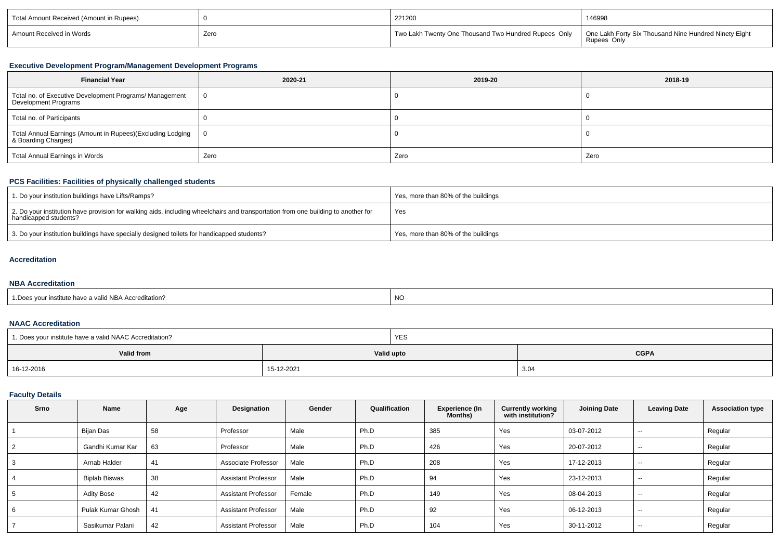| Total Amount Received (Amount in Rupees) |      | 221200                                               | 146998                                                               |
|------------------------------------------|------|------------------------------------------------------|----------------------------------------------------------------------|
| Amount Received in Words                 | Zero | Two Lakh Twenty One Thousand Two Hundred Rupees Only | One Lakh Forty Six Thousand Nine Hundred Ninety Eight<br>Rupees Only |

## **Executive Development Program/Management Development Programs**

| <b>Financial Year</b>                                                             | 2020-21 | 2019-20 | 2018-19 |
|-----------------------------------------------------------------------------------|---------|---------|---------|
| Total no. of Executive Development Programs/ Management<br>  Development Programs | - 0     |         |         |
| Total no. of Participants                                                         |         |         |         |
| Total Annual Earnings (Amount in Rupees)(Excluding Lodging<br>& Boarding Charges) | - 0     |         |         |
| Total Annual Earnings in Words                                                    | Zero    | Zero    | Zero    |

## **PCS Facilities: Facilities of physically challenged students**

| 1. Do your institution buildings have Lifts/Ramps?                                                                                                         | Yes, more than 80% of the buildings |
|------------------------------------------------------------------------------------------------------------------------------------------------------------|-------------------------------------|
| 2. Do your institution have provision for walking aids, including wheelchairs and transportation from one building to another for<br>handicapped students? | Yes                                 |
| 3. Do your institution buildings have specially designed toilets for handicapped students?                                                                 | Yes, more than 80% of the buildings |

#### **Accreditation**

## **NBA Accreditation**

| alid NBA Accreditation?<br>$D^{\alpha}$<br>. | NC |
|----------------------------------------------|----|
|                                              |    |

## **NAAC Accreditation**

| <sup>1</sup> 1. Does your institute have a valid NAAC Accreditation? |            | <b>YES</b> |             |  |  |
|----------------------------------------------------------------------|------------|------------|-------------|--|--|
| Valid from                                                           |            | Valid upto | <b>CGPA</b> |  |  |
| 16-12-2016                                                           | 15-12-2021 |            | 3.04        |  |  |

## **Faculty Details**

| <b>Srno</b> | Name              | Age | Designation                | Gender | Qualification | Experience (In<br>Months) | <b>Currently working</b><br>with institution? | <b>Joining Date</b> | <b>Leaving Date</b>      | <b>Association type</b> |
|-------------|-------------------|-----|----------------------------|--------|---------------|---------------------------|-----------------------------------------------|---------------------|--------------------------|-------------------------|
|             | Bijan Das         | 58  | Professor                  | Male   | Ph.D          | 385                       | Yes                                           | 03-07-2012          | $\sim$ $\sim$            | Regular                 |
|             | Gandhi Kumar Kar  | 63  | Professor                  | Male   | Ph.D          | 426                       | Yes                                           | 20-07-2012          | $- -$                    | Regular                 |
| 3           | Arnab Halder      | 41  | Associate Professor        | Male   | Ph.D          | 208                       | Yes                                           | 17-12-2013          | $\sim$                   | Regular                 |
| 4           | Biplab Biswas     | 38  | <b>Assistant Professor</b> | Male   | Ph.D          | 94                        | Yes                                           | 23-12-2013          | $- -$                    | Regular                 |
| 5           | Adity Bose        | 42  | <b>Assistant Professor</b> | Female | Ph.D          | 149                       | Yes                                           | 08-04-2013          | $- -$                    | Regular                 |
| 6           | Pulak Kumar Ghosh | 41  | <b>Assistant Professor</b> | Male   | Ph.D          | 92                        | Yes                                           | 06-12-2013          | $\overline{\phantom{a}}$ | Regular                 |
|             | Sasikumar Palani  | 42  | <b>Assistant Professor</b> | Male   | Ph.D          | 104                       | Yes                                           | 30-11-2012          | $- -$                    | Regular                 |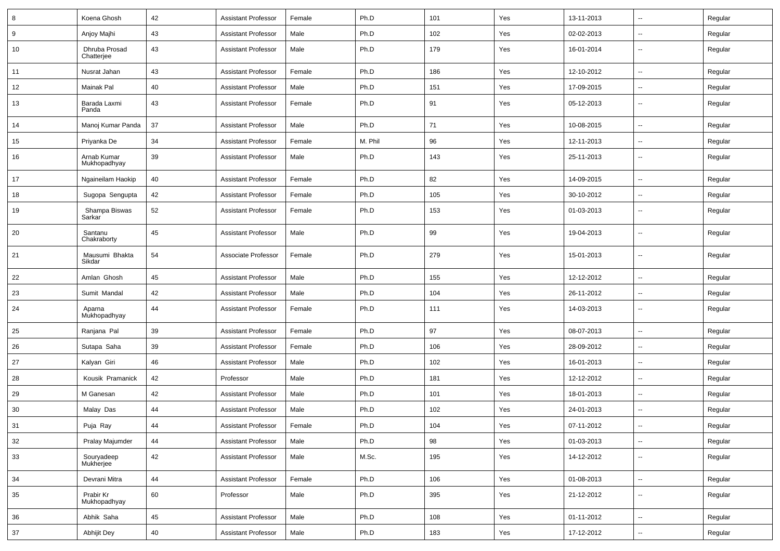| 8  | Koena Ghosh                 | 42 | <b>Assistant Professor</b> | Female | Ph.D    | 101   | Yes | 13-11-2013 | $\overline{\phantom{a}}$ | Regular |
|----|-----------------------------|----|----------------------------|--------|---------|-------|-----|------------|--------------------------|---------|
| 9  | Anjoy Majhi                 | 43 | <b>Assistant Professor</b> | Male   | Ph.D    | 102   | Yes | 02-02-2013 | $\overline{\phantom{a}}$ | Regular |
| 10 | Dhruba Prosad<br>Chatterjee | 43 | <b>Assistant Professor</b> | Male   | Ph.D    | 179   | Yes | 16-01-2014 | --                       | Regular |
| 11 | Nusrat Jahan                | 43 | <b>Assistant Professor</b> | Female | Ph.D    | 186   | Yes | 12-10-2012 | $\overline{\phantom{a}}$ | Regular |
| 12 | Mainak Pal                  | 40 | <b>Assistant Professor</b> | Male   | Ph.D    | 151   | Yes | 17-09-2015 | --                       | Regular |
| 13 | Barada Laxmi<br>Panda       | 43 | <b>Assistant Professor</b> | Female | Ph.D    | 91    | Yes | 05-12-2013 |                          | Regular |
| 14 | Manoj Kumar Panda           | 37 | <b>Assistant Professor</b> | Male   | Ph.D    | 71    | Yes | 10-08-2015 | $\overline{\phantom{a}}$ | Regular |
| 15 | Priyanka De                 | 34 | <b>Assistant Professor</b> | Female | M. Phil | 96    | Yes | 12-11-2013 | $\overline{\phantom{a}}$ | Regular |
| 16 | Arnab Kumar<br>Mukhopadhyay | 39 | <b>Assistant Professor</b> | Male   | Ph.D    | 143   | Yes | 25-11-2013 | $\overline{\phantom{a}}$ | Regular |
| 17 | Ngaineilam Haokip           | 40 | <b>Assistant Professor</b> | Female | Ph.D    | 82    | Yes | 14-09-2015 | $\sim$                   | Regular |
| 18 | Sugopa Sengupta             | 42 | <b>Assistant Professor</b> | Female | Ph.D    | 105   | Yes | 30-10-2012 | --                       | Regular |
| 19 | Shampa Biswas<br>Sarkar     | 52 | <b>Assistant Professor</b> | Female | Ph.D    | 153   | Yes | 01-03-2013 | --                       | Regular |
| 20 | Santanu<br>Chakraborty      | 45 | <b>Assistant Professor</b> | Male   | Ph.D    | 99    | Yes | 19-04-2013 | $\overline{\phantom{a}}$ | Regular |
| 21 | Mausumi Bhakta<br>Sikdar    | 54 | Associate Professor        | Female | Ph.D    | 279   | Yes | 15-01-2013 | $\overline{\phantom{a}}$ | Regular |
| 22 | Amlan Ghosh                 | 45 | <b>Assistant Professor</b> | Male   | Ph.D    | 155   | Yes | 12-12-2012 | Ξ.                       | Regular |
| 23 | Sumit Mandal                | 42 | <b>Assistant Professor</b> | Male   | Ph.D    | 104   | Yes | 26-11-2012 | $\overline{\phantom{a}}$ | Regular |
| 24 | Aparna<br>Mukhopadhyay      | 44 | <b>Assistant Professor</b> | Female | Ph.D    | 111   | Yes | 14-03-2013 | --                       | Regular |
| 25 | Ranjana Pal                 | 39 | <b>Assistant Professor</b> | Female | Ph.D    | 97    | Yes | 08-07-2013 | --                       | Regular |
| 26 | Sutapa Saha                 | 39 | <b>Assistant Professor</b> | Female | Ph.D    | 106   | Yes | 28-09-2012 | Ξ.                       | Regular |
| 27 | Kalyan Giri                 | 46 | <b>Assistant Professor</b> | Male   | Ph.D    | 102   | Yes | 16-01-2013 | $\overline{\phantom{a}}$ | Regular |
| 28 | Kousik Pramanick            | 42 | Professor                  | Male   | Ph.D    | 181   | Yes | 12-12-2012 | н.                       | Regular |
| 29 | M Ganesan                   | 42 | Assistant Professor        | Male   | Ph.D    | 101   | Yes | 18-01-2013 | $\overline{\phantom{a}}$ | Regular |
| 30 | Malay Das                   | 44 | <b>Assistant Professor</b> | Male   | Ph.D    | 102   | Yes | 24-01-2013 | $\overline{\phantom{a}}$ | Regular |
| 31 | Puja Ray                    | 44 | Assistant Professor        | Female | Ph.D    | $104$ | Yes | 07-11-2012 |                          | Regular |
| 32 | Pralay Majumder             | 44 | <b>Assistant Professor</b> | Male   | Ph.D    | 98    | Yes | 01-03-2013 | н.                       | Regular |
| 33 | Souryadeep<br>Mukherjee     | 42 | <b>Assistant Professor</b> | Male   | M.Sc.   | 195   | Yes | 14-12-2012 | $\overline{\phantom{a}}$ | Regular |
| 34 | Devrani Mitra               | 44 | <b>Assistant Professor</b> | Female | Ph.D    | 106   | Yes | 01-08-2013 | $\sim$                   | Regular |
| 35 | Prabir Kr<br>Mukhopadhyay   | 60 | Professor                  | Male   | Ph.D    | 395   | Yes | 21-12-2012 | $\sim$                   | Regular |
| 36 | Abhik Saha                  | 45 | Assistant Professor        | Male   | Ph.D    | 108   | Yes | 01-11-2012 | $\overline{\phantom{a}}$ | Regular |
| 37 | Abhijit Dey                 | 40 | <b>Assistant Professor</b> | Male   | Ph.D    | 183   | Yes | 17-12-2012 | $\sim$                   | Regular |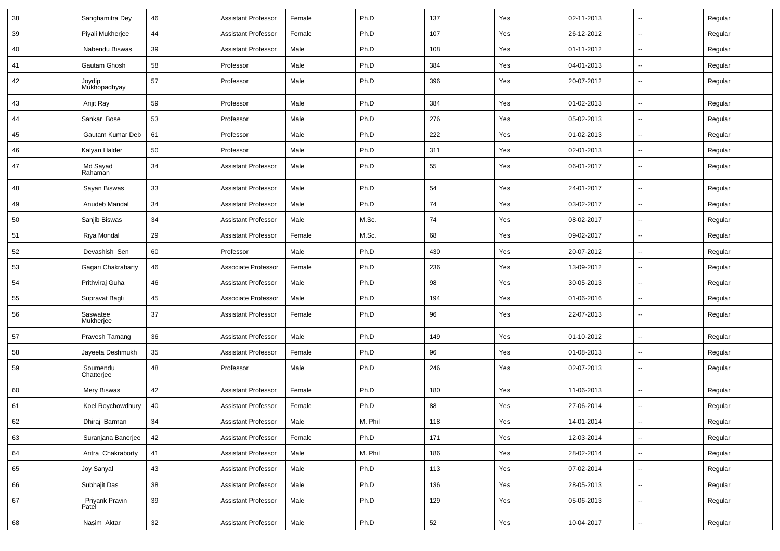| 38 | Sanghamitra Dey         | 46 | <b>Assistant Professor</b> | Female | Ph.D    | 137 | Yes | 02-11-2013 | $\overline{\phantom{a}}$ | Regular |
|----|-------------------------|----|----------------------------|--------|---------|-----|-----|------------|--------------------------|---------|
| 39 | Piyali Mukherjee        | 44 | <b>Assistant Professor</b> | Female | Ph.D    | 107 | Yes | 26-12-2012 | ⊶.                       | Regular |
| 40 | Nabendu Biswas          | 39 | <b>Assistant Professor</b> | Male   | Ph.D    | 108 | Yes | 01-11-2012 | $\sim$                   | Regular |
| 41 | Gautam Ghosh            | 58 | Professor                  | Male   | Ph.D    | 384 | Yes | 04-01-2013 | $\overline{\phantom{a}}$ | Regular |
| 42 | Joydip<br>Mukhopadhyay  | 57 | Professor                  | Male   | Ph.D    | 396 | Yes | 20-07-2012 | --                       | Regular |
| 43 | Arijit Ray              | 59 | Professor                  | Male   | Ph.D    | 384 | Yes | 01-02-2013 | $\overline{\phantom{a}}$ | Regular |
| 44 | Sankar Bose             | 53 | Professor                  | Male   | Ph.D    | 276 | Yes | 05-02-2013 | $\sim$                   | Regular |
| 45 | Gautam Kumar Deb        | 61 | Professor                  | Male   | Ph.D    | 222 | Yes | 01-02-2013 | $\overline{\phantom{a}}$ | Regular |
| 46 | Kalyan Halder           | 50 | Professor                  | Male   | Ph.D    | 311 | Yes | 02-01-2013 | $\sim$                   | Regular |
| 47 | Md Sayad<br>Rahaman     | 34 | <b>Assistant Professor</b> | Male   | Ph.D    | 55  | Yes | 06-01-2017 | $\overline{\phantom{a}}$ | Regular |
| 48 | Sayan Biswas            | 33 | <b>Assistant Professor</b> | Male   | Ph.D    | 54  | Yes | 24-01-2017 | $\sim$                   | Regular |
| 49 | Anudeb Mandal           | 34 | <b>Assistant Professor</b> | Male   | Ph.D    | 74  | Yes | 03-02-2017 | $\overline{\phantom{a}}$ | Regular |
| 50 | Sanjib Biswas           | 34 | <b>Assistant Professor</b> | Male   | M.Sc.   | 74  | Yes | 08-02-2017 | -−                       | Regular |
| 51 | Riya Mondal             | 29 | <b>Assistant Professor</b> | Female | M.Sc.   | 68  | Yes | 09-02-2017 | $\sim$                   | Regular |
| 52 | Devashish Sen           | 60 | Professor                  | Male   | Ph.D    | 430 | Yes | 20-07-2012 | Ξ.                       | Regular |
| 53 | Gagari Chakrabarty      | 46 | Associate Professor        | Female | Ph.D    | 236 | Yes | 13-09-2012 | ⊶.                       | Regular |
| 54 | Prithviraj Guha         | 46 | <b>Assistant Professor</b> | Male   | Ph.D    | 98  | Yes | 30-05-2013 | -−                       | Regular |
| 55 | Supravat Bagli          | 45 | Associate Professor        | Male   | Ph.D    | 194 | Yes | 01-06-2016 | $\overline{\phantom{a}}$ | Regular |
| 56 | Saswatee<br>Mukherjee   | 37 | <b>Assistant Professor</b> | Female | Ph.D    | 96  | Yes | 22-07-2013 | --                       | Regular |
| 57 | Pravesh Tamang          | 36 | <b>Assistant Professor</b> | Male   | Ph.D    | 149 | Yes | 01-10-2012 | -−                       | Regular |
| 58 | Jayeeta Deshmukh        | 35 | <b>Assistant Professor</b> | Female | Ph.D    | 96  | Yes | 01-08-2013 | $\overline{\phantom{a}}$ | Regular |
| 59 | Soumendu<br>Chatterjee  | 48 | Professor                  | Male   | Ph.D    | 246 | Yes | 02-07-2013 | $\overline{\phantom{a}}$ | Regular |
| 60 | Mery Biswas             | 42 | <b>Assistant Professor</b> | Female | Ph.D    | 180 | Yes | 11-06-2013 | Ξ.                       | Regular |
| 61 | Koel Roychowdhury       | 40 | <b>Assistant Professor</b> | Female | Ph.D    | 88  | Yes | 27-06-2014 | ⊶.                       | Regular |
| 62 | Dhiraj Barman           | 34 | Assistant Professor        | Male   | M. Phil | 118 | Yes | 14-01-2014 | $\overline{\phantom{a}}$ | Regular |
| 63 | Suranjana Banerjee      | 42 | Assistant Professor        | Female | Ph.D    | 171 | Yes | 12-03-2014 | $\overline{\phantom{a}}$ | Regular |
| 64 | Aritra Chakraborty      | 41 | <b>Assistant Professor</b> | Male   | M. Phil | 186 | Yes | 28-02-2014 | $\sim$                   | Regular |
| 65 | Joy Sanyal              | 43 | <b>Assistant Professor</b> | Male   | Ph.D    | 113 | Yes | 07-02-2014 | Щ,                       | Regular |
| 66 | Subhajit Das            | 38 | <b>Assistant Professor</b> | Male   | Ph.D    | 136 | Yes | 28-05-2013 | Щ,                       | Regular |
| 67 | Priyank Pravin<br>Patel | 39 | <b>Assistant Professor</b> | Male   | Ph.D    | 129 | Yes | 05-06-2013 | $\overline{\phantom{a}}$ | Regular |
| 68 | Nasim Aktar             | 32 | <b>Assistant Professor</b> | Male   | Ph.D    | 52  | Yes | 10-04-2017 | н,                       | Regular |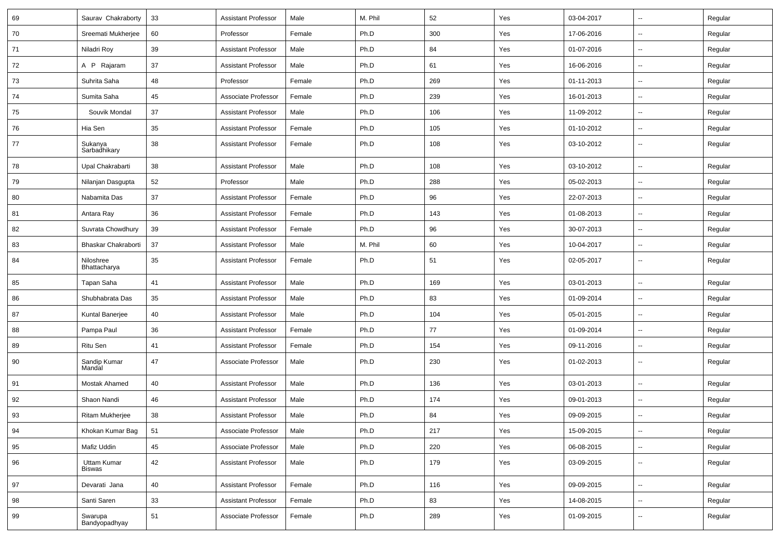| 69 | Saurav Chakraborty        | 33 | <b>Assistant Professor</b> | Male   | M. Phil | 52  | Yes | 03-04-2017 | $\sim$                   | Regular |
|----|---------------------------|----|----------------------------|--------|---------|-----|-----|------------|--------------------------|---------|
| 70 | Sreemati Mukherjee        | 60 | Professor                  | Female | Ph.D    | 300 | Yes | 17-06-2016 | Ξ.                       | Regular |
| 71 | Niladri Roy               | 39 | <b>Assistant Professor</b> | Male   | Ph.D    | 84  | Yes | 01-07-2016 | Ξ.                       | Regular |
| 72 | A P Rajaram               | 37 | <b>Assistant Professor</b> | Male   | Ph.D    | 61  | Yes | 16-06-2016 | $\overline{a}$           | Regular |
| 73 | Suhrita Saha              | 48 | Professor                  | Female | Ph.D    | 269 | Yes | 01-11-2013 | Ξ.                       | Regular |
| 74 | Sumita Saha               | 45 | Associate Professor        | Female | Ph.D    | 239 | Yes | 16-01-2013 | $\sim$                   | Regular |
| 75 | Souvik Mondal             | 37 | <b>Assistant Professor</b> | Male   | Ph.D    | 106 | Yes | 11-09-2012 | $\sim$                   | Regular |
| 76 | Hia Sen                   | 35 | <b>Assistant Professor</b> | Female | Ph.D    | 105 | Yes | 01-10-2012 | Ξ.                       | Regular |
| 77 | Sukanya<br>Sarbadhikary   | 38 | <b>Assistant Professor</b> | Female | Ph.D    | 108 | Yes | 03-10-2012 | $\sim$                   | Regular |
| 78 | Upal Chakrabarti          | 38 | <b>Assistant Professor</b> | Male   | Ph.D    | 108 | Yes | 03-10-2012 | $\overline{\phantom{a}}$ | Regular |
| 79 | Nilanjan Dasgupta         | 52 | Professor                  | Male   | Ph.D    | 288 | Yes | 05-02-2013 | $\overline{a}$           | Regular |
| 80 | Nabamita Das              | 37 | <b>Assistant Professor</b> | Female | Ph.D    | 96  | Yes | 22-07-2013 | $\overline{\phantom{a}}$ | Regular |
| 81 | Antara Ray                | 36 | <b>Assistant Professor</b> | Female | Ph.D    | 143 | Yes | 01-08-2013 | $\sim$                   | Regular |
| 82 | Suvrata Chowdhury         | 39 | <b>Assistant Professor</b> | Female | Ph.D    | 96  | Yes | 30-07-2013 | $\sim$                   | Regular |
| 83 | Bhaskar Chakraborti       | 37 | <b>Assistant Professor</b> | Male   | M. Phil | 60  | Yes | 10-04-2017 | Ξ.                       | Regular |
| 84 | Niloshree<br>Bhattacharya | 35 | <b>Assistant Professor</b> | Female | Ph.D    | 51  | Yes | 02-05-2017 | Ξ.                       | Regular |
| 85 | Tapan Saha                | 41 | <b>Assistant Professor</b> | Male   | Ph.D    | 169 | Yes | 03-01-2013 | $\sim$                   | Regular |
| 86 | Shubhabrata Das           | 35 | <b>Assistant Professor</b> | Male   | Ph.D    | 83  | Yes | 01-09-2014 | $\overline{\phantom{a}}$ | Regular |
| 87 | Kuntal Banerjee           | 40 | <b>Assistant Professor</b> | Male   | Ph.D    | 104 | Yes | 05-01-2015 | $\overline{\phantom{a}}$ | Regular |
| 88 | Pampa Paul                | 36 | <b>Assistant Professor</b> | Female | Ph.D    | 77  | Yes | 01-09-2014 | $\sim$                   | Regular |
| 89 | Ritu Sen                  | 41 | <b>Assistant Professor</b> | Female | Ph.D    | 154 | Yes | 09-11-2016 | Ξ.                       | Regular |
| 90 | Sandip Kumar<br>Mandal    | 47 | Associate Professor        | Male   | Ph.D    | 230 | Yes | 01-02-2013 | Ξ.                       | Regular |
| 91 | Mostak Ahamed             | 40 | <b>Assistant Professor</b> | Male   | Ph.D    | 136 | Yes | 03-01-2013 | $\overline{\phantom{a}}$ | Regular |
| 92 | Shaon Nandi               | 46 | <b>Assistant Professor</b> | Male   | Ph.D    | 174 | Yes | 09-01-2013 | $\overline{a}$           | Regular |
| 93 | Ritam Mukherjee           | 38 | <b>Assistant Professor</b> | Male   | Ph.D    | 84  | Yes | 09-09-2015 |                          | Regular |
| 94 | Khokan Kumar Bag          | 51 | Associate Professor        | Male   | Ph.D    | 217 | Yes | 15-09-2015 | $\overline{\phantom{a}}$ | Regular |
| 95 | Mafiz Uddin               | 45 | Associate Professor        | Male   | Ph.D    | 220 | Yes | 06-08-2015 | ω.                       | Regular |
| 96 | Uttam Kumar<br>Biswas     | 42 | <b>Assistant Professor</b> | Male   | Ph.D    | 179 | Yes | 03-09-2015 | $\overline{\phantom{a}}$ | Regular |
| 97 | Devarati Jana             | 40 | <b>Assistant Professor</b> | Female | Ph.D    | 116 | Yes | 09-09-2015 | ц.                       | Regular |
| 98 | Santi Saren               | 33 | <b>Assistant Professor</b> | Female | Ph.D    | 83  | Yes | 14-08-2015 | ц.                       | Regular |
| 99 | Swarupa<br>Bandyopadhyay  | 51 | Associate Professor        | Female | Ph.D    | 289 | Yes | 01-09-2015 | $\sim$                   | Regular |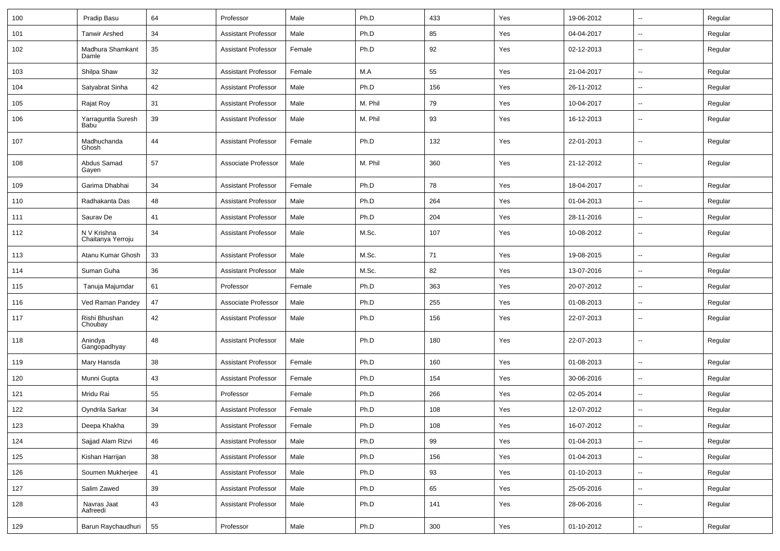| 100 | Pradip Basu                      | 64 | Professor                  | Male   | Ph.D    | 433 | Yes | 19-06-2012 | $\sim$                   | Regular |
|-----|----------------------------------|----|----------------------------|--------|---------|-----|-----|------------|--------------------------|---------|
| 101 | <b>Tanwir Arshed</b>             | 34 | <b>Assistant Professor</b> | Male   | Ph.D    | 85  | Yes | 04-04-2017 | $\overline{\phantom{a}}$ | Regular |
| 102 | Madhura Shamkant<br>Damle        | 35 | <b>Assistant Professor</b> | Female | Ph.D    | 92  | Yes | 02-12-2013 | $\overline{\phantom{a}}$ | Regular |
| 103 | Shilpa Shaw                      | 32 | <b>Assistant Professor</b> | Female | M.A     | 55  | Yes | 21-04-2017 |                          | Regular |
| 104 | Satyabrat Sinha                  | 42 | <b>Assistant Professor</b> | Male   | Ph.D    | 156 | Yes | 26-11-2012 | $\overline{\phantom{a}}$ | Regular |
| 105 | Rajat Roy                        | 31 | <b>Assistant Professor</b> | Male   | M. Phil | 79  | Yes | 10-04-2017 | $\overline{\phantom{a}}$ | Regular |
| 106 | Yarraguntla Suresh<br>Babu       | 39 | <b>Assistant Professor</b> | Male   | M. Phil | 93  | Yes | 16-12-2013 | $\overline{\phantom{a}}$ | Regular |
| 107 | Madhuchanda<br>Ghosh             | 44 | <b>Assistant Professor</b> | Female | Ph.D    | 132 | Yes | 22-01-2013 | $\sim$                   | Regular |
| 108 | Abdus Samad<br>Gayen             | 57 | Associate Professor        | Male   | M. Phil | 360 | Yes | 21-12-2012 | $\overline{\phantom{a}}$ | Regular |
| 109 | Garima Dhabhai                   | 34 | <b>Assistant Professor</b> | Female | Ph.D    | 78  | Yes | 18-04-2017 | $\overline{\phantom{a}}$ | Regular |
| 110 | Radhakanta Das                   | 48 | <b>Assistant Professor</b> | Male   | Ph.D    | 264 | Yes | 01-04-2013 | $\sim$                   | Regular |
| 111 | Saurav De                        | 41 | <b>Assistant Professor</b> | Male   | Ph.D    | 204 | Yes | 28-11-2016 | ⊷.                       | Regular |
| 112 | N V Krishna<br>Chaitanya Yerroju | 34 | <b>Assistant Professor</b> | Male   | M.Sc.   | 107 | Yes | 10-08-2012 | --                       | Regular |
| 113 | Atanu Kumar Ghosh                | 33 | <b>Assistant Professor</b> | Male   | M.Sc.   | 71  | Yes | 19-08-2015 | Ξ.                       | Regular |
| 114 | Suman Guha                       | 36 | <b>Assistant Professor</b> | Male   | M.Sc.   | 82  | Yes | 13-07-2016 |                          | Regular |
| 115 | Tanuja Majumdar                  | 61 | Professor                  | Female | Ph.D    | 363 | Yes | 20-07-2012 | $\overline{\phantom{a}}$ | Regular |
| 116 | Ved Raman Pandey                 | 47 | Associate Professor        | Male   | Ph.D    | 255 | Yes | 01-08-2013 | $\sim$                   | Regular |
| 117 | Rishi Bhushan<br>Choubay         | 42 | <b>Assistant Professor</b> | Male   | Ph.D    | 156 | Yes | 22-07-2013 | $\sim$                   | Regular |
| 118 | Anindya<br>Gangopadhyay          | 48 | <b>Assistant Professor</b> | Male   | Ph.D    | 180 | Yes | 22-07-2013 | $\sim$                   | Regular |
| 119 | Mary Hansda                      | 38 | <b>Assistant Professor</b> | Female | Ph.D    | 160 | Yes | 01-08-2013 | $\sim$                   | Regular |
| 120 | Munni Gupta                      | 43 | <b>Assistant Professor</b> | Female | Ph.D    | 154 | Yes | 30-06-2016 | н.                       | Regular |
| 121 | Mridu Rai                        | 55 | Professor                  | Female | Ph.D    | 266 | Yes | 02-05-2014 |                          | Regular |
| 122 | Oyndrila Sarkar                  | 34 | <b>Assistant Professor</b> | Female | Ph.D    | 108 | Yes | 12-07-2012 | $\overline{\phantom{a}}$ | Regular |
| 123 | Deepa Khakha                     | 39 | Assistant Professor        | Female | Ph.D    | 108 | Yes | 16-07-2012 |                          | Regular |
| 124 | Sajjad Alam Rizvi                | 46 | <b>Assistant Professor</b> | Male   | Ph.D    | 99  | Yes | 01-04-2013 | $\sim$                   | Regular |
| 125 | Kishan Harrijan                  | 38 | <b>Assistant Professor</b> | Male   | Ph.D    | 156 | Yes | 01-04-2013 | $\overline{\phantom{a}}$ | Regular |
| 126 | Soumen Mukherjee                 | 41 | Assistant Professor        | Male   | Ph.D    | 93  | Yes | 01-10-2013 | $\sim$                   | Regular |
| 127 | Salim Zawed                      | 39 | <b>Assistant Professor</b> | Male   | Ph.D    | 65  | Yes | 25-05-2016 | ₩,                       | Regular |
| 128 | Navras Jaat<br>Aafreedi          | 43 | <b>Assistant Professor</b> | Male   | Ph.D    | 141 | Yes | 28-06-2016 | $\sim$                   | Regular |
| 129 | Barun Raychaudhuri               | 55 | Professor                  | Male   | Ph.D    | 300 | Yes | 01-10-2012 | $\overline{\phantom{a}}$ | Regular |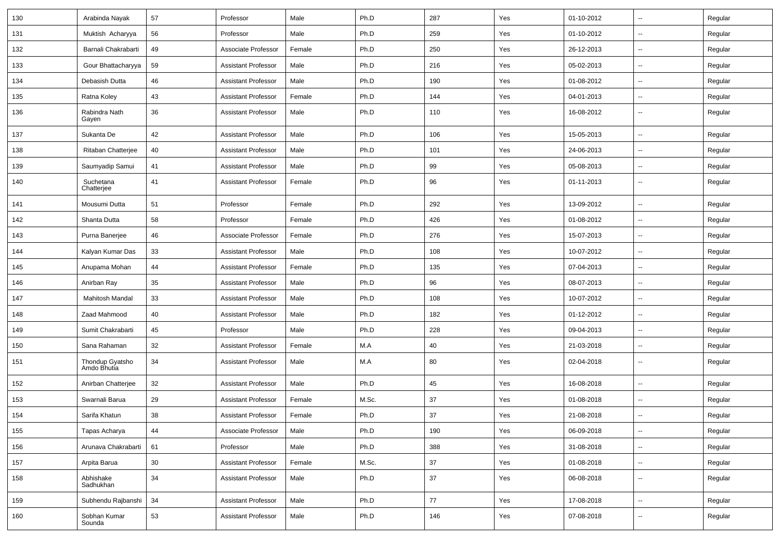| 130 | Arabinda Nayak                 | 57     | Professor                  | Male   | Ph.D  | 287 | Yes | 01-10-2012 | $\mathbf{u}$             | Regular |
|-----|--------------------------------|--------|----------------------------|--------|-------|-----|-----|------------|--------------------------|---------|
| 131 | Muktish Acharyya               | 56     | Professor                  | Male   | Ph.D  | 259 | Yes | 01-10-2012 | $\sim$                   | Regular |
| 132 | Barnali Chakrabarti            | 49     | Associate Professor        | Female | Ph.D  | 250 | Yes | 26-12-2013 | $\mathbf{u}$             | Regular |
| 133 | Gour Bhattacharyya             | 59     | <b>Assistant Professor</b> | Male   | Ph.D  | 216 | Yes | 05-02-2013 | $\overline{\phantom{a}}$ | Regular |
| 134 | Debasish Dutta                 | 46     | <b>Assistant Professor</b> | Male   | Ph.D  | 190 | Yes | 01-08-2012 | $\mathbf{u}$             | Regular |
| 135 | Ratna Koley                    | 43     | <b>Assistant Professor</b> | Female | Ph.D  | 144 | Yes | 04-01-2013 | $\mathbf{u}$             | Regular |
| 136 | Rabindra Nath<br>Gayen         | 36     | <b>Assistant Professor</b> | Male   | Ph.D  | 110 | Yes | 16-08-2012 | $\mathbf{u}$             | Regular |
| 137 | Sukanta De                     | 42     | <b>Assistant Professor</b> | Male   | Ph.D  | 106 | Yes | 15-05-2013 | $\sim$                   | Regular |
| 138 | Ritaban Chatterjee             | 40     | <b>Assistant Professor</b> | Male   | Ph.D  | 101 | Yes | 24-06-2013 | $\mathbf{u}$             | Regular |
| 139 | Saumyadip Samui                | 41     | <b>Assistant Professor</b> | Male   | Ph.D  | 99  | Yes | 05-08-2013 | $\overline{a}$           | Regular |
| 140 | Suchetana<br>Chatterjee        | 41     | <b>Assistant Professor</b> | Female | Ph.D  | 96  | Yes | 01-11-2013 | $\overline{\phantom{a}}$ | Regular |
| 141 | Mousumi Dutta                  | 51     | Professor                  | Female | Ph.D  | 292 | Yes | 13-09-2012 | $\overline{\phantom{a}}$ | Regular |
| 142 | Shanta Dutta                   | 58     | Professor                  | Female | Ph.D  | 426 | Yes | 01-08-2012 | $\overline{\phantom{a}}$ | Regular |
| 143 | Purna Banerjee                 | 46     | Associate Professor        | Female | Ph.D  | 276 | Yes | 15-07-2013 | $\sim$                   | Regular |
| 144 | Kalyan Kumar Das               | 33     | <b>Assistant Professor</b> | Male   | Ph.D  | 108 | Yes | 10-07-2012 | $\mathbf{u}$             | Regular |
| 145 | Anupama Mohan                  | 44     | <b>Assistant Professor</b> | Female | Ph.D  | 135 | Yes | 07-04-2013 | $\sim$                   | Regular |
| 146 | Anirban Ray                    | 35     | <b>Assistant Professor</b> | Male   | Ph.D  | 96  | Yes | 08-07-2013 |                          | Regular |
| 147 | Mahitosh Mandal                | 33     | <b>Assistant Professor</b> | Male   | Ph.D  | 108 | Yes | 10-07-2012 | $\overline{\phantom{a}}$ | Regular |
| 148 | Zaad Mahmood                   | 40     | <b>Assistant Professor</b> | Male   | Ph.D  | 182 | Yes | 01-12-2012 | $\mathbf{u}$             | Regular |
| 149 | Sumit Chakrabarti              | 45     | Professor                  | Male   | Ph.D  | 228 | Yes | 09-04-2013 | $\overline{\phantom{a}}$ | Regular |
| 150 | Sana Rahaman                   | 32     | <b>Assistant Professor</b> | Female | M.A   | 40  | Yes | 21-03-2018 | $\sim$                   | Regular |
| 151 | Thondup Gyatsho<br>Amdo Bhutia | 34     | <b>Assistant Professor</b> | Male   | M.A   | 80  | Yes | 02-04-2018 | $\mathbf{u}$             | Regular |
| 152 | Anirban Chatterjee             | 32     | <b>Assistant Professor</b> | Male   | Ph.D  | 45  | Yes | 16-08-2018 | $\sim$                   | Regular |
| 153 | Swarnali Barua                 | 29     | <b>Assistant Professor</b> | Female | M.Sc. | 37  | Yes | 01-08-2018 | --                       | Regular |
| 154 | Sarifa Khatun                  | 38     | <b>Assistant Professor</b> | Female | Ph.D  | 37  | Yes | 21-08-2018 |                          | Regular |
| 155 | Tapas Acharya                  | 44     | Associate Professor        | Male   | Ph.D  | 190 | Yes | 06-09-2018 | $\sim$                   | Regular |
| 156 | Arunava Chakrabarti            | 61     | Professor                  | Male   | Ph.D  | 388 | Yes | 31-08-2018 | $\sim$                   | Regular |
| 157 | Arpita Barua                   | $30\,$ | <b>Assistant Professor</b> | Female | M.Sc. | 37  | Yes | 01-08-2018 | $\sim$                   | Regular |
| 158 | Abhishake<br>Sadhukhan         | 34     | <b>Assistant Professor</b> | Male   | Ph.D  | 37  | Yes | 06-08-2018 | $\sim$                   | Regular |
| 159 | Subhendu Rajbanshi             | 34     | <b>Assistant Professor</b> | Male   | Ph.D  | 77  | Yes | 17-08-2018 | $\sim$                   | Regular |
| 160 | Sobhan Kumar<br>Sounda         | 53     | <b>Assistant Professor</b> | Male   | Ph.D  | 146 | Yes | 07-08-2018 | --                       | Regular |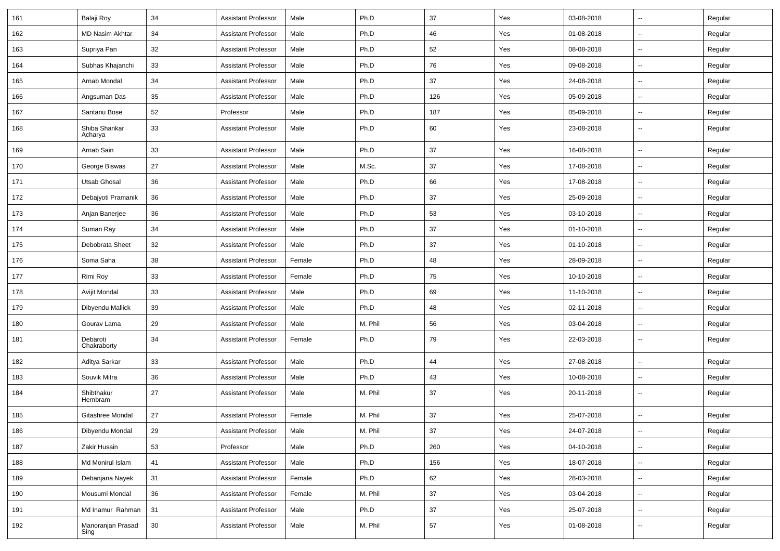| 161 | Balaji Roy                | 34     | <b>Assistant Professor</b> | Male   | Ph.D    | 37  | Yes | 03-08-2018 | $\overline{\phantom{a}}$ | Regular |
|-----|---------------------------|--------|----------------------------|--------|---------|-----|-----|------------|--------------------------|---------|
| 162 | <b>MD Nasim Akhtar</b>    | 34     | <b>Assistant Professor</b> | Male   | Ph.D    | 46  | Yes | 01-08-2018 | $\sim$                   | Regular |
| 163 | Supriya Pan               | 32     | <b>Assistant Professor</b> | Male   | Ph.D    | 52  | Yes | 08-08-2018 |                          | Regular |
| 164 | Subhas Khajanchi          | 33     | <b>Assistant Professor</b> | Male   | Ph.D    | 76  | Yes | 09-08-2018 |                          | Regular |
| 165 | Arnab Mondal              | 34     | <b>Assistant Professor</b> | Male   | Ph.D    | 37  | Yes | 24-08-2018 | $\overline{\phantom{a}}$ | Regular |
| 166 | Angsuman Das              | 35     | <b>Assistant Professor</b> | Male   | Ph.D    | 126 | Yes | 05-09-2018 | $\mathbf{u}$             | Regular |
| 167 | Santanu Bose              | 52     | Professor                  | Male   | Ph.D    | 187 | Yes | 05-09-2018 | $\sim$                   | Regular |
| 168 | Shiba Shankar<br>Acharya  | 33     | <b>Assistant Professor</b> | Male   | Ph.D    | 60  | Yes | 23-08-2018 | $\sim$                   | Regular |
| 169 | Arnab Sain                | 33     | Assistant Professor        | Male   | Ph.D    | 37  | Yes | 16-08-2018 | $\sim$                   | Regular |
| 170 | George Biswas             | 27     | <b>Assistant Professor</b> | Male   | M.Sc.   | 37  | Yes | 17-08-2018 | $\mathbf{u}$             | Regular |
| 171 | Utsab Ghosal              | 36     | <b>Assistant Professor</b> | Male   | Ph.D    | 66  | Yes | 17-08-2018 | $\mathbf{u}$             | Regular |
| 172 | Debajyoti Pramanik        | 36     | <b>Assistant Professor</b> | Male   | Ph.D    | 37  | Yes | 25-09-2018 | $\overline{\phantom{a}}$ | Regular |
| 173 | Anjan Banerjee            | 36     | <b>Assistant Professor</b> | Male   | Ph.D    | 53  | Yes | 03-10-2018 | $\overline{\phantom{a}}$ | Regular |
| 174 | Suman Ray                 | 34     | <b>Assistant Professor</b> | Male   | Ph.D    | 37  | Yes | 01-10-2018 |                          | Regular |
| 175 | Debobrata Sheet           | 32     | <b>Assistant Professor</b> | Male   | Ph.D    | 37  | Yes | 01-10-2018 | $\sim$                   | Regular |
| 176 | Soma Saha                 | 38     | <b>Assistant Professor</b> | Female | Ph.D    | 48  | Yes | 28-09-2018 | $\overline{\phantom{a}}$ | Regular |
| 177 | Rimi Roy                  | 33     | <b>Assistant Professor</b> | Female | Ph.D    | 75  | Yes | 10-10-2018 | $\mathbf{u}$             | Regular |
| 178 | Avijit Mondal             | 33     | <b>Assistant Professor</b> | Male   | Ph.D    | 69  | Yes | 11-10-2018 | $\overline{\phantom{a}}$ | Regular |
| 179 | Dibyendu Mallick          | 39     | <b>Assistant Professor</b> | Male   | Ph.D    | 48  | Yes | 02-11-2018 | $\overline{\phantom{a}}$ | Regular |
| 180 | Gourav Lama               | 29     | Assistant Professor        | Male   | M. Phil | 56  | Yes | 03-04-2018 | $\overline{a}$           | Regular |
| 181 | Debaroti<br>Chakraborty   | 34     | Assistant Professor        | Female | Ph.D    | 79  | Yes | 22-03-2018 | $\sim$                   | Regular |
| 182 | Aditya Sarkar             | 33     | <b>Assistant Professor</b> | Male   | Ph.D    | 44  | Yes | 27-08-2018 | $\sim$                   | Regular |
| 183 | Souvik Mitra              | 36     | <b>Assistant Professor</b> | Male   | Ph.D    | 43  | Yes | 10-08-2018 | $\sim$                   | Regular |
| 184 | Shibthakur<br>Hembram     | 27     | <b>Assistant Professor</b> | Male   | M. Phil | 37  | Yes | 20-11-2018 | $\overline{\phantom{a}}$ | Regular |
| 185 | Gitashree Mondal          | 27     | <b>Assistant Professor</b> | Female | M. Phil | 37  | Yes | 25-07-2018 |                          | Regular |
| 186 | Dibyendu Mondal           | 29     | <b>Assistant Professor</b> | Male   | M. Phil | 37  | Yes | 24-07-2018 | $\overline{\phantom{a}}$ | Regular |
| 187 | Zakir Husain              | 53     | Professor                  | Male   | Ph.D    | 260 | Yes | 04-10-2018 | $\sim$                   | Regular |
| 188 | Md Monirul Islam          | 41     | <b>Assistant Professor</b> | Male   | Ph.D    | 156 | Yes | 18-07-2018 | $\sim$                   | Regular |
| 189 | Debanjana Nayek           | 31     | <b>Assistant Professor</b> | Female | Ph.D    | 62  | Yes | 28-03-2018 | $\sim$                   | Regular |
| 190 | Mousumi Mondal            | 36     | Assistant Professor        | Female | M. Phil | 37  | Yes | 03-04-2018 | $\sim$                   | Regular |
| 191 | Md Inamur Rahman          | 31     | <b>Assistant Professor</b> | Male   | Ph.D    | 37  | Yes | 25-07-2018 | $\overline{\phantom{a}}$ | Regular |
| 192 | Manoranjan Prasad<br>Sing | $30\,$ | <b>Assistant Professor</b> | Male   | M. Phil | 57  | Yes | 01-08-2018 | $\sim$                   | Regular |